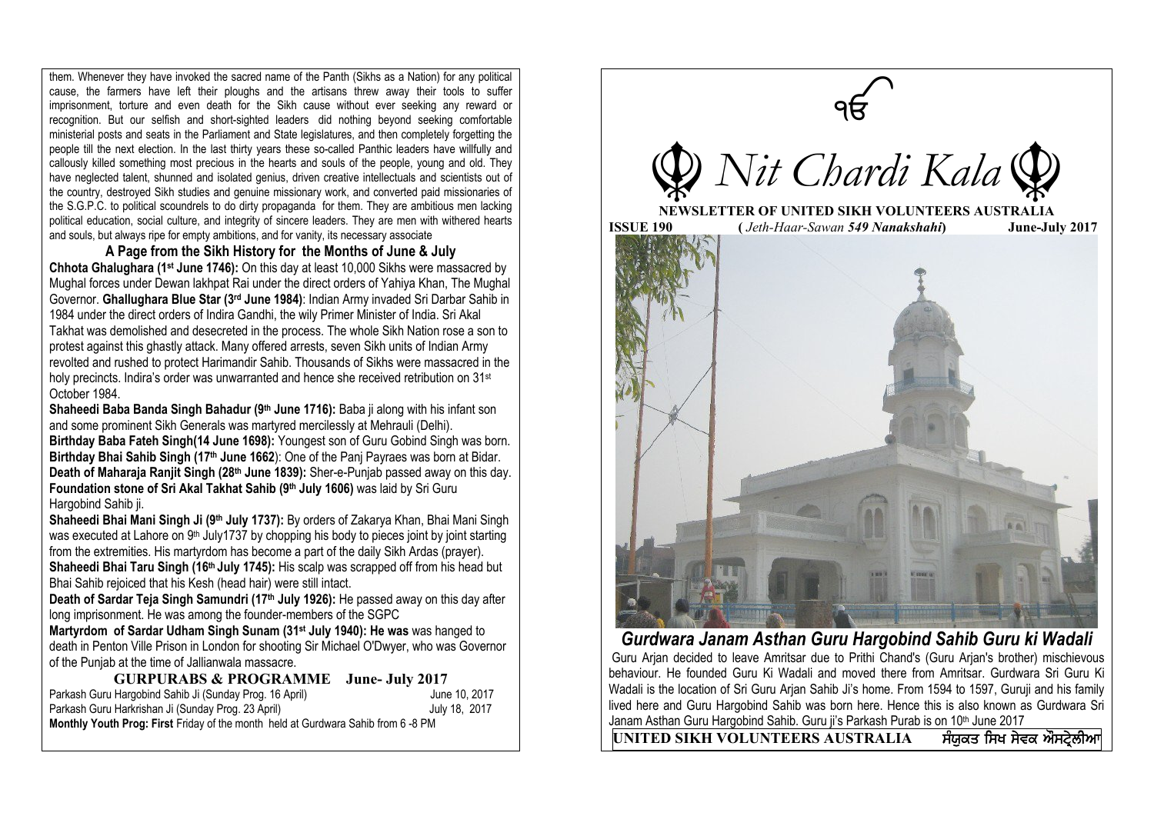them. Whenever they have invoked the sacred name of the Panth (Sikhs as a Nation) for any political cause, the farmers have left their ploughs and the artisans threw away their tools to suffer imprisonment, torture and even death for the Sikh cause without ever seeking any reward or recognition. But our selfish and short-sighted leaders did nothing beyond seeking comfortable ministerial posts and seats in the Parliament and State legislatures, and then completely forgetting the people till the next election. In the last thirty years these so-called Panthic leaders have willfully and callously killed something most precious in the hearts and souls of the people, young and old. They have neglected talent, shunned and isolated genius, driven creative intellectuals and scientists out of the country, destroyed Sikh studies and genuine missionary work, and converted paid missionaries of the S.G.P.C. to political scoundrels to do dirty propaganda for them. They are ambitious men lacking political education, social culture, and integrity of sincere leaders. They are men with withered hearts and souls, but always ripe for empty ambitions, and for vanity, its necessary associate

**A Page from the Sikh History for the Months of June & July Chhota Ghalughara (1st June 1746):** On this day at least 10,000 Sikhs were massacred by Mughal forces under Dewan lakhpat Rai under the direct orders of Yahiya Khan, The Mughal Governor. **Ghallughara Blue Star (3rd June 1984)**: Indian Army invaded Sri Darbar Sahib in 1984 under the direct orders of Indira Gandhi, the wily Primer Minister of India. Sri Akal Takhat was demolished and desecreted in the process. The whole Sikh Nation rose a son to protest against this ghastly attack. Many offered arrests, seven Sikh units of Indian Army revolted and rushed to protect Harimandir Sahib. Thousands of Sikhs were massacred in the holy precincts. Indira's order was unwarranted and hence she received retribution on 31<sup>st</sup> October 1984.

**Shaheedi Baba Banda Singh Bahadur (9th June 1716):** Baba ii along with his infant son and some prominent Sikh Generals was martyred mercilessly at Mehrauli (Delhi). **Birthday Baba Fateh Singh(14 June 1698):** Youngest son of Guru Gobind Singh was born. **Birthday Bhai Sahib Singh (17th June 1662**): One of the Panj Payraes was born at Bidar. **Death of Maharaja Ranjit Singh (28th June 1839):** Sher-e-Punjab passed away on this day. **Foundation stone of Sri Akal Takhat Sahib (9th July 1606)** was laid by Sri Guru Hargobind Sahib ji.

**Shaheedi Bhai Mani Singh Ji (9th July 1737):** By orders of [Zakarya Khan,](http://www.sikhiwiki.org/index.php?title=Zakarya_Khan&action=edit&redlink=1) Bhai Mani Singh was executed at Lahore on 9<sup>th</sup> July1737 by chopping his body to pieces joint by joint starting from the extremities. Hi[s martyrdom](http://www.sikhiwiki.org/index.php/Martyr) has become a part of the daily Sikh Ardas (prayer). **Shaheedi Bhai Taru Singh (16th July 1745):** His scalp was scrapped off from his head but Bhai Sahib rejoiced that his Kesh (head hair) were still intact.

**Death of Sardar Teja Singh Samundri (17th July 1926):** He passed away on this day after long imprisonment. He was among the founder-members of the SGPC

**Martyrdom of Sardar Udham Singh Sunam (31st July 1940): He was** was hanged to death in Penton Ville Prison in London for shooting Sir Michael O'Dwyer, who was Governor of the Punjab at the time of Jallianwala massacre.

**GURPURABS & PROGRAMME June- July 2017**

| Parkash Guru Hargobind Sahib Ji (Sunday Prog. 16 April)                                  | June 10, 2017 |
|------------------------------------------------------------------------------------------|---------------|
| Parkash Guru Harkrishan Ji (Sunday Prog. 23 April)                                       | July 18, 2017 |
| <b>Monthly Youth Prog: First Friday of the month held at Gurdwara Sahib from 6 -8 PM</b> |               |



*Gurdwara Janam Asthan Guru Hargobind Sahib Guru ki Wadali*

Guru Arjan decided to leave Amritsar due to Prithi Chand's (Guru Arjan's brother) mischievous behaviour. He founded Guru Ki Wadali and moved there from Amritsar. Gurdwara Sri Guru Ki Wadali is the location of Sri Guru Arjan Sahib Ji's home. From 1594 to 1597, Guruji and his family lived here and Guru Hargobind Sahib was born here. Hence this is also known as Gurdwara Sri Janam Asthan Guru Hargobind Sahib. Guru ii's Parkash Purab is on 10<sup>th</sup> June 2017

 $\overline{UNITED~SIKH~VOLUNTEERS~AUSTRALIA~}$  ਸੰਯੁਕਤ ਸਿਖ ਸੇਵਕ ਔਸਟੇਲੀਅ